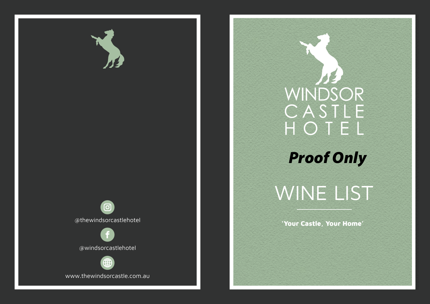

## WINDSOR<br>CASTLE<br>HOTEL

## *Proof Only*

## WINE LIST

'Your Castle, Your Home'